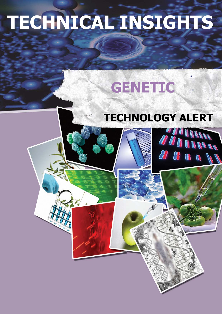## **TECHNICAL INSIGHTS**

## GENETIC

## **TECHNOLOGY ALERT**

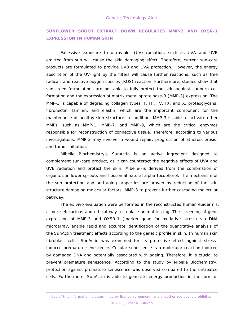## **SUNFLOWER SHOOT EXTRACT DOWN REGULATES MMP-3 AND OXSR-1 EXPRESSION IN HUMAN SKIN**

Excessive exposure to ultraviolet (UV) radiation, such as UVA and UVB emitted from sun will cause the skin damaging effect. Therefore, current sun-care products are formulated to provide UVB and UVA protection. However, the energy absorption of the UV-light by the filters will cause further reactions, such as free radicals and reactive oxygen species (ROS) reaction. Furthermore, studies show that sunscreen formulations are not able to fully protect the skin against sunburn cell formation and the expression of matrix metalloproteinase-3 (MMP-3) expression. The MMP-3 is capable of degrading collagen types II, III, IV, IX, and X, proteoglycans, fibronectin, laminin, and elastin, which are the important component for the maintenance of healthy skin structure. In addition, MMP-3 is able to activate other MMPs, such as MMP-1, MMP-7, and MMP-9, which are the critical enzymes responsible for reconstruction of connective tissue. Therefore, according to various investigations, MMP-3 may involve in wound repair, progression of atherosclerosis, and tumor initiation.

Mibelle Biochemistry's SunActin is an active ingredient designed to complement sun-care product, as it can counteract the negative effects of UVA and UVB radiation and protect the skin. Mibelle--is derived from the combination of organic sunflower sprouts and liposomal natural alpha-tocopherol. The mechanism of the sun protection and anti-aging properties are proven by reduction of the skin structure damaging molecular factors, MMP-3 to prevent further cascading molecular pathway.

The *ex vivo* evaluation were performed in the reconstructed human epidermis, a more efficacious and ethical way to replace animal testing. The screening of gene expression of MMP-3 and OXSR-1 (marker gene for oxidative stress) via DNA microarray, enable rapid and accurate identification of the quantitative analysis of the SunActin treatment effects according to the genetic profile in skin. In human skin fibroblast cells, SunActin was examined for its protective effect against stressinduced premature senescence. Cellular senescence is a molecular reaction induced by damaged DNA and potentially associated with ageing. Therefore, it is crucial to prevent premature senescence. According to the study by Mibelle Biochemistry, protection against premature senescence was observed compared to the untreated cells. Furthermore, SunActin is able to generate energy production in the form of